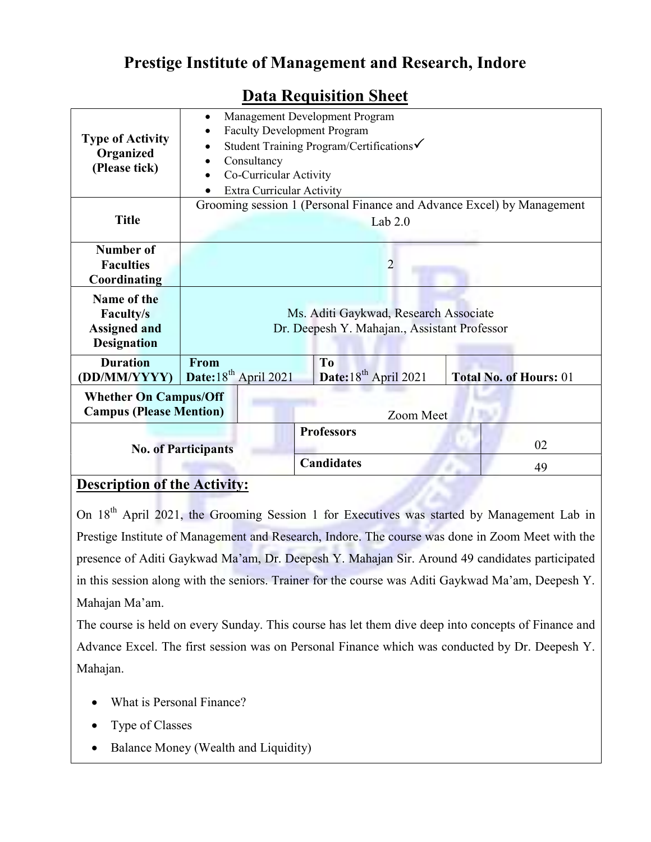## Prestige Institute of Management and Research, Indore

| <b>Type of Activity</b><br>Organized<br>(Please tick)                                                                                                                                                 | Management Development Program<br>٠<br><b>Faculty Development Program</b><br>Student Training Program/Certifications√<br>$\bullet$<br>Consultancy<br>$\bullet$<br>Co-Curricular Activity<br>$\bullet$<br><b>Extra Curricular Activity</b> |                   |    |
|-------------------------------------------------------------------------------------------------------------------------------------------------------------------------------------------------------|-------------------------------------------------------------------------------------------------------------------------------------------------------------------------------------------------------------------------------------------|-------------------|----|
| <b>Title</b>                                                                                                                                                                                          | Grooming session 1 (Personal Finance and Advance Excel) by Management<br>Lab $2.0$                                                                                                                                                        |                   |    |
| Number of                                                                                                                                                                                             |                                                                                                                                                                                                                                           |                   |    |
| <b>Faculties</b>                                                                                                                                                                                      | $\overline{2}$                                                                                                                                                                                                                            |                   |    |
| Coordinating                                                                                                                                                                                          |                                                                                                                                                                                                                                           |                   |    |
| Name of the<br><b>Faculty/s</b><br><b>Assigned and</b><br><b>Designation</b>                                                                                                                          | Ms. Aditi Gaykwad, Research Associate<br>Dr. Deepesh Y. Mahajan., Assistant Professor                                                                                                                                                     |                   |    |
| <b>Duration</b>                                                                                                                                                                                       | From                                                                                                                                                                                                                                      | T <sub>0</sub>    |    |
| Date:18 <sup>th</sup> April 2021<br>Date: 18 <sup>th</sup> April 2021<br><b>Total No. of Hours: 01</b><br>(DD/MM/YYYY)<br><b>Whether On Campus/Off</b><br><b>Campus (Please Mention)</b><br>Zoom Meet |                                                                                                                                                                                                                                           |                   |    |
| <b>No. of Participants</b>                                                                                                                                                                            |                                                                                                                                                                                                                                           | <b>Professors</b> | 02 |
|                                                                                                                                                                                                       |                                                                                                                                                                                                                                           | <b>Candidates</b> | 49 |

## Data Requisition Sheet

## Description of the Activity:

On 18<sup>th</sup> April 2021, the Grooming Session 1 for Executives was started by Management Lab in Prestige Institute of Management and Research, Indore. The course was done in Zoom Meet with the presence of Aditi Gaykwad Ma'am, Dr. Deepesh Y. Mahajan Sir. Around 49 candidates participated in this session along with the seniors. Trainer for the course was Aditi Gaykwad Ma'am, Deepesh Y. Mahajan Ma'am.

The course is held on every Sunday. This course has let them dive deep into concepts of Finance and Advance Excel. The first session was on Personal Finance which was conducted by Dr. Deepesh Y. Mahajan.

- What is Personal Finance?
- Type of Classes
- Balance Money (Wealth and Liquidity)